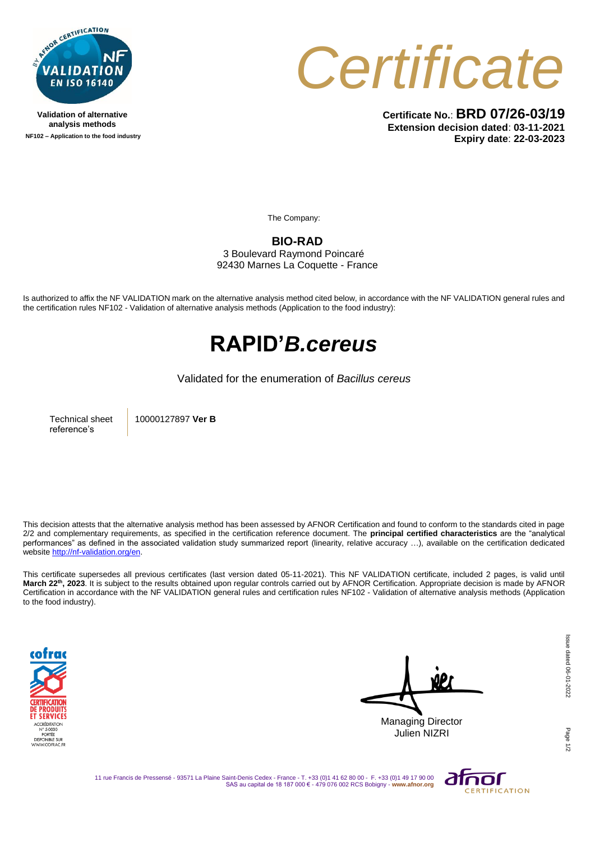

**Validation of alternative analysis methods NF102 – Application to the food industry**



**Certificate No.**: **BRD 07/26-03/19 Extension decision dated**: **03-11-2021 Expiry date**: **22-03-2023**

The Company:

## **BIO-RAD**

3 Boulevard Raymond Poincaré 92430 Marnes La Coquette - France

Is authorized to affix the NF VALIDATION mark on the alternative analysis method cited below, in accordance with the NF VALIDATION general rules and the certification rules NF102 - Validation of alternative analysis methods (Application to the food industry):

## **RAPID'***B.cereus*

## Validated for the enumeration of *Bacillus cereus*

Technical sheet reference's

10000127897 **Ver B**

This decision attests that the alternative analysis method has been assessed by AFNOR Certification and found to conform to the standards cited in page 2/2 and complementary requirements, as specified in the certification reference document. The **principal certified characteristics** are the "analytical performances" as defined in the associated validation study summarized report (linearity, relative accuracy …), available on the certification dedicated websit[e http://nf-validation.org/en.](http://nf-validation.org/en)

This certificate supersedes all previous certificates (last version dated 05-11-2021). This NF VALIDATION certificate, included 2 pages, is valid until **March 22th , 2023**. It is subject to the results obtained upon regular controls carried out by AFNOR Certification. Appropriate decision is made by AFNOR Certification in accordance with the NF VALIDATION general rules and certification rules NF102 - Validation of alternative analysis methods (Application to the food industry).



Managing Director Julien NIZRI

Page

11 rue Francis de Pressensé - 93571 La Plaine Saint-Denis Cedex - France - T. +33 (0)1 41 62 80 00 - F. +33 (0)1 49 17 90 00 SAS au capital de 18 187 000 € - 479 076 002 RCS Bobigny - **www.afnor.org**